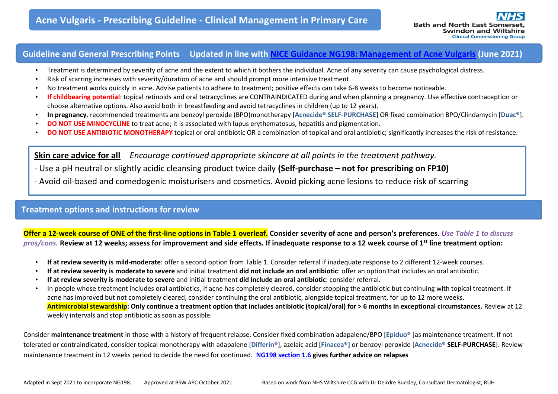# **Guideline and General Prescribing Points Updated in line with [NICE Guidance NG198: Management of Acne Vulgaris](https://www.nice.org.uk/guidance/ng198/resources/acne-vulgaris-management-pdf-66142088866501) (June 2021)**

- Treatment is determined by severity of acne and the extent to which it bothers the individual. Acne of any severity can cause psychological distress.
- Risk of scarring increases with severity/duration of acne and should prompt more intensive treatment.
- No treatment works quickly in acne. Advise patients to adhere to treatment; positive effects can take 6-8 weeks to become noticeable.
- **If childbearing potential**: topical retinoids and oral tetracyclines are CONTRAINDICATED during and when planning a pregnancy. Use effective contraception or choose alternative options. Also avoid both in breastfeeding and avoid tetracyclines in children (up to 12 years).
- **In pregnancy**, recommended treatments are benzoyl peroxide (BPO)monotherapy [**Acnecide® SELF-PURCHASE**] OR fixed combination BPO/Clindamycin [**Duac®**].
- **DO NOT USE MINOCYCLINE** to treat acne; it is associated with lupus erythematosus, hepatitis and pigmentation.
- **DO NOT USE ANTIBIOTIC MONOTHERAPY** topical or oral antibiotic OR a combination of topical and oral antibiotic; significantly increases the risk of resistance.

**Skin care advice for all** *Encourage continued appropriate skincare at all points in the treatment pathway.*

- Use a pH neutral or slightly acidic cleansing product twice daily **(Self-purchase – not for prescribing on FP10)**
- Avoid oil-based and comedogenic moisturisers and cosmetics. Avoid picking acne lesions to reduce risk of scarring

## **Treatment options and instructions for review**

**Offer a 12-week course of ONE of the first-line options in Table 1 overleaf. Consider severity of acne and person's preferences.** *Use Table 1 to discuss pros/cons.* **Review at 12 weeks; assess for improvement and side effects. If inadequate response to a 12 week course of 1st line treatment option:**

- **If at review severity is mild-moderate**: offer a second option from Table 1. Consider referral if inadequate response to 2 different 12-week courses.
- **If at review severity is moderate to severe** and initial treatment **did not include an oral antibiotic**: offer an option that includes an oral antibiotic.
- **If at review severity is moderate to severe** and initial treatment **did include an oral antibiotic**: consider referral.
- In people whose treatment includes oral antibiotics, if acne has completely cleared, consider stopping the antibiotic but continuing with topical treatment. If acne has improved but not completely cleared, consider continuing the oral antibiotic, alongside topical treatment, for up to 12 more weeks. **Antimicrobial stewardship: Only continue a treatment option that includes antibiotic (topical/oral) for > 6 months in exceptional circumstances.** Review at 12 weekly intervals and stop antibiotic as soon as possible.

Consider **maintenance treatment** in those with a history of frequent relapse. Consider fixed combination adapalene/BPO [**Epiduo®** ]as maintenance treatment. If not tolerated or contraindicated, consider topical monotherapy with adapalene [**Differin®**], azelaic acid [**Finacea®]** or benzoyl peroxide [**Acnecide® SELF-PURCHASE**]. Review maintenance treatment in 12 weeks period to decide the need for continued. **[NG198 section 1.6](https://www.nice.org.uk/guidance/ng198/resources/acne-vulgaris-management-pdf-66142088866501) gives further advice on relapses**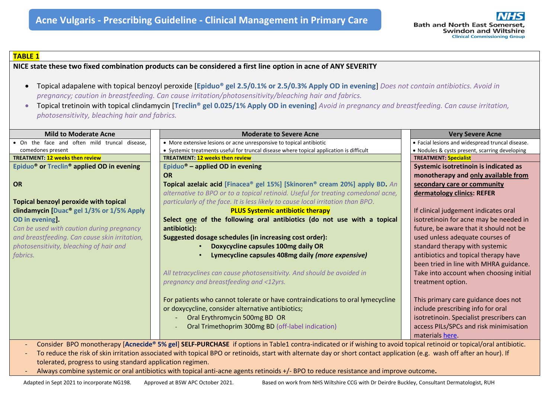

### **TABLE 1**

**NICE state these two fixed combination products can be considered a first line option in acne of ANY SEVERITY**

- Topical adapalene with topical benzoyl peroxide [**Epiduo® gel 2.5/0.1% or 2.5/0.3% Apply OD in evening**] *Does not contain antibiotics. Avoid in pregnancy; caution in breastfeeding. Can cause irritation/photosensitivity/bleaching hair and fabrics.*
- Topical tretinoin with topical clindamycin [**Treclin® gel 0.025/1% Apply OD in evening**] *Avoid in pregnancy and breastfeeding. Can cause irritation, photosensitivity, bleaching hair and fabrics.*

| <b>Mild to Moderate Acne</b>                                                                                                                                             | <b>Moderate to Severe Acne</b>                                                          | <b>Very Severe Acne</b>                          |
|--------------------------------------------------------------------------------------------------------------------------------------------------------------------------|-----------------------------------------------------------------------------------------|--------------------------------------------------|
| • On the face and often mild truncal disease.                                                                                                                            | • More extensive lesions or acne unresponsive to topical antibiotic                     | • Facial lesions and widespread truncal disease. |
| comedones present                                                                                                                                                        | • Systemic treatments useful for truncal disease where topical application is difficult | • Nodules & cysts present, scarring developing   |
| <b>TREATMENT: 12 weeks then review</b>                                                                                                                                   | <b>TREATMENT: 12 weeks then review</b>                                                  | <b>TREATMENT: Specialist</b>                     |
| Epiduo <sup>®</sup> or Treclin <sup>®</sup> applied OD in evening                                                                                                        | Epiduo <sup>®</sup> – applied OD in evening                                             | Systemic isotretinoin is indicated as            |
|                                                                                                                                                                          | <b>OR</b>                                                                               | monotherapy and only available from              |
| OR                                                                                                                                                                       | Topical azelaic acid [Finacea® gel 15%] [Skinoren® cream 20%] apply BD. An              | secondary care or community                      |
|                                                                                                                                                                          | alternative to BPO or to a topical retinoid. Useful for treating comedonal acne,        | dermatology clinics: REFER                       |
| Topical benzoyl peroxide with topical                                                                                                                                    | particularly of the face. It is less likely to cause local irritation than BPO.         |                                                  |
| clindamycin [Duac <sup>®</sup> gel 1/3% or 1/5% Apply                                                                                                                    | <b>PLUS Systemic antibiotic therapy</b>                                                 | If clinical judgement indicates oral             |
| <b>OD</b> in evening.                                                                                                                                                    | Select one of the following oral antibiotics (do not use with a topical                 | isotretinoin for acne may be needed in           |
| Can be used with caution during pregnancy                                                                                                                                | antibiotic):                                                                            | future, be aware that it should not be           |
| and breastfeeding. Can cause skin irritation,                                                                                                                            | Suggested dosage schedules (in increasing cost order):                                  | used unless adequate courses of                  |
| photosensitivity, bleaching of hair and                                                                                                                                  | Doxycycline capsules 100mg daily OR                                                     | standard therapy with systemic                   |
| fabrics.                                                                                                                                                                 | Lymecycline capsules 408mg daily (more expensive)                                       | antibiotics and topical therapy have             |
|                                                                                                                                                                          |                                                                                         | been tried in line with MHRA guidance.           |
|                                                                                                                                                                          | All tetracyclines can cause photosensitivity. And should be avoided in                  | Take into account when choosing initial          |
|                                                                                                                                                                          | pregnancy and breastfeeding and <12yrs.                                                 | treatment option.                                |
|                                                                                                                                                                          |                                                                                         |                                                  |
|                                                                                                                                                                          |                                                                                         |                                                  |
|                                                                                                                                                                          | For patients who cannot tolerate or have contraindications to oral lymecycline          | This primary care guidance does not              |
|                                                                                                                                                                          | or doxycycline, consider alternative antibiotics;                                       | include prescribing info for oral                |
|                                                                                                                                                                          | Oral Erythromycin 500mg BD OR                                                           | isotretinoin. Specialist prescribers can         |
|                                                                                                                                                                          | Oral Trimethoprim 300mg BD (off-label indication)                                       | access PILs/SPCs and risk minimisation           |
|                                                                                                                                                                          |                                                                                         | materials here.                                  |
| Consider BPO monotherapy [Acnecide® 5% gel] SELF-PURCHASE if options in Table1 contra-indicated or if wishing to avoid topical retinoid or topical/oral antibiotic.      |                                                                                         |                                                  |
| To reduce the rick of ckin irritation accociated with topical PBO or retinaids, start with alternate day or short contact application (e.g., wash off after an hour). If |                                                                                         |                                                  |

- To reduce the risk of skin irritation associated with topical BPO or retinoids, start with alternate day or short contact application (e.g. wash off after an hour). If tolerated, progress to using standard application regimen.
- Always combine systemic or oral antibiotics with topical anti-acne agents retinoids +/- BPO to reduce resistance and improve outcome**.**